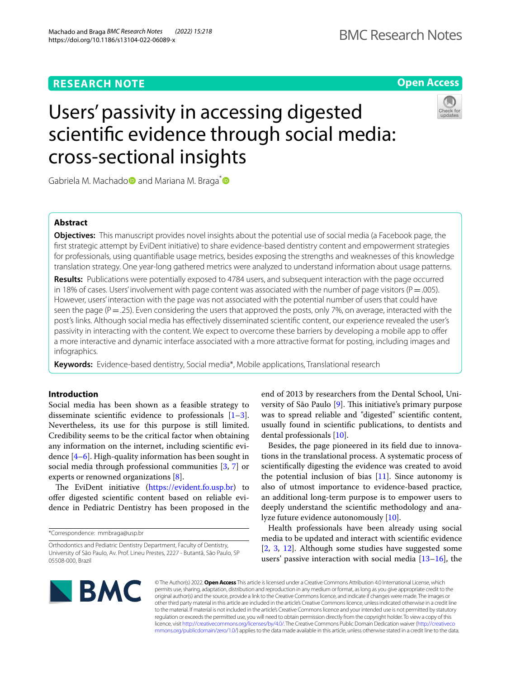# **Open Access**

# Users' passivity in accessing digested scientifc evidence through social media: cross-sectional insights



Gabriela M. Machado<sup>n</sup> and Mariana M. Braga<sup>\*</sup>

# **Abstract**

**Objectives:** This manuscript provides novel insights about the potential use of social media (a Facebook page, the frst strategic attempt by EviDent initiative) to share evidence-based dentistry content and empowerment strategies for professionals, using quantifable usage metrics, besides exposing the strengths and weaknesses of this knowledge translation strategy. One year-long gathered metrics were analyzed to understand information about usage patterns.

**Results:** Publications were potentially exposed to 4784 users, and subsequent interaction with the page occurred in 18% of cases. Users' involvement with page content was associated with the number of page visitors ( $P=.005$ ). However, users' interaction with the page was not associated with the potential number of users that could have seen the page ( $P = .25$ ). Even considering the users that approved the posts, only 7%, on average, interacted with the post's links. Although social media has efectively disseminated scientifc content, our experience revealed the user's passivity in interacting with the content. We expect to overcome these barriers by developing a mobile app to offer a more interactive and dynamic interface associated with a more attractive format for posting, including images and infographics.

**Keywords:** Evidence-based dentistry, Social media\*, Mobile applications, Translational research

# **Introduction**

Social media has been shown as a feasible strategy to disseminate scientific evidence to professionals  $[1-3]$  $[1-3]$ . Nevertheless, its use for this purpose is still limited. Credibility seems to be the critical factor when obtaining any information on the internet, including scientifc evidence  $[4-6]$  $[4-6]$ . High-quality information has been sought in social media through professional communities [\[3,](#page-6-1) [7](#page-6-4)] or experts or renowned organizations [\[8](#page-6-5)].

The EviDent initiative [\(https://evident.fo.usp.br](https://evident.fo.usp.br)) to ofer digested scientifc content based on reliable evidence in Pediatric Dentistry has been proposed in the

\*Correspondence: mmbraga@usp.br

end of 2013 by researchers from the Dental School, University of São Paulo  $[9]$  $[9]$ . This initiative's primary purpose was to spread reliable and "digested" scientifc content, usually found in scientifc publications, to dentists and dental professionals [\[10](#page-6-7)].

Besides, the page pioneered in its feld due to innovations in the translational process. A systematic process of scientifcally digesting the evidence was created to avoid the potential inclusion of bias  $[11]$  $[11]$ . Since autonomy is also of utmost importance to evidence-based practice, an additional long-term purpose is to empower users to deeply understand the scientifc methodology and analyze future evidence autonomously [\[10](#page-6-7)].

Health professionals have been already using social media to be updated and interact with scientifc evidence [[2,](#page-6-9) [3,](#page-6-1) [12](#page-6-10)]. Although some studies have suggested some users' passive interaction with social media [\[13](#page-6-11)[–16\]](#page-6-12), the



© The Author(s) 2022. **Open Access** This article is licensed under a Creative Commons Attribution 4.0 International License, which permits use, sharing, adaptation, distribution and reproduction in any medium or format, as long as you give appropriate credit to the original author(s) and the source, provide a link to the Creative Commons licence, and indicate if changes were made. The images or other third party material in this article are included in the article's Creative Commons licence, unless indicated otherwise in a credit line to the material. If material is not included in the article's Creative Commons licence and your intended use is not permitted by statutory regulation or exceeds the permitted use, you will need to obtain permission directly from the copyright holder. To view a copy of this licence, visit [http://creativecommons.org/licenses/by/4.0/.](http://creativecommons.org/licenses/by/4.0/) The Creative Commons Public Domain Dedication waiver ([http://creativeco](http://creativecommons.org/publicdomain/zero/1.0/) [mmons.org/publicdomain/zero/1.0/](http://creativecommons.org/publicdomain/zero/1.0/)) applies to the data made available in this article, unless otherwise stated in a credit line to the data.

Orthodontics and Pediatric Dentistry Department, Faculty of Dentistry, University of São Paulo, Av. Prof. Lineu Prestes, 2227 - Butantã, São Paulo, SP 05508-000, Brazil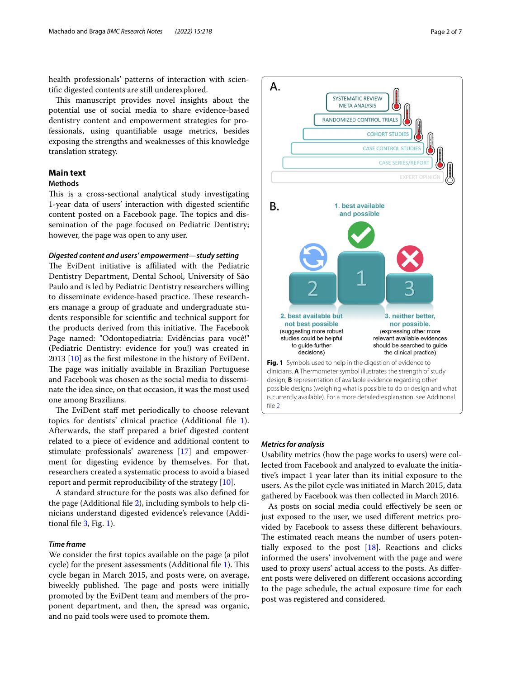health professionals' patterns of interaction with scientifc digested contents are still underexplored.

This manuscript provides novel insights about the potential use of social media to share evidence-based dentistry content and empowerment strategies for professionals, using quantifable usage metrics, besides exposing the strengths and weaknesses of this knowledge translation strategy.

# **Main text**

# **Methods**

This is a cross-sectional analytical study investigating 1-year data of users' interaction with digested scientifc content posted on a Facebook page. The topics and dissemination of the page focused on Pediatric Dentistry; however, the page was open to any user.

# *Digested content and users' empowerment—study setting*

The EviDent initiative is affiliated with the Pediatric Dentistry Department, Dental School, University of São Paulo and is led by Pediatric Dentistry researchers willing to disseminate evidence-based practice. These researchers manage a group of graduate and undergraduate students responsible for scientifc and technical support for the products derived from this initiative. The Facebook Page named: "Odontopediatria: Evidências para você!" (Pediatric Dentistry: evidence for you!) was created in 2013 [\[10](#page-6-7)] as the frst milestone in the history of EviDent. The page was initially available in Brazilian Portuguese and Facebook was chosen as the social media to disseminate the idea since, on that occasion, it was the most used one among Brazilians.

The EviDent staff met periodically to choose relevant topics for dentists' clinical practice (Additional fle [1](#page-5-0)). Afterwards, the staff prepared a brief digested content related to a piece of evidence and additional content to stimulate professionals' awareness [\[17](#page-6-13)] and empowerment for digesting evidence by themselves. For that, researchers created a systematic process to avoid a biased report and permit reproducibility of the strategy [\[10\]](#page-6-7).

A standard structure for the posts was also defned for the page (Additional fle [2](#page-5-1)), including symbols to help clinicians understand digested evidence's relevance (Additional fle [3](#page-5-2), Fig. [1\)](#page-1-0).

# *Time frame*

We consider the frst topics available on the page (a pilot cycle) for the present assessments (Additional file  $1$ ). This cycle began in March 2015, and posts were, on average, biweekly published. The page and posts were initially promoted by the EviDent team and members of the proponent department, and then, the spread was organic, and no paid tools were used to promote them.



# <span id="page-1-0"></span>*Metrics for analysis*

А.

Usability metrics (how the page works to users) were collected from Facebook and analyzed to evaluate the initiative's impact 1 year later than its initial exposure to the users. As the pilot cycle was initiated in March 2015, data gathered by Facebook was then collected in March 2016.

As posts on social media could efectively be seen or just exposed to the user, we used diferent metrics provided by Facebook to assess these diferent behaviours. The estimated reach means the number of users potentially exposed to the post  $[18]$  $[18]$  $[18]$ . Reactions and clicks informed the users' involvement with the page and were used to proxy users' actual access to the posts. As diferent posts were delivered on diferent occasions according to the page schedule, the actual exposure time for each post was registered and considered.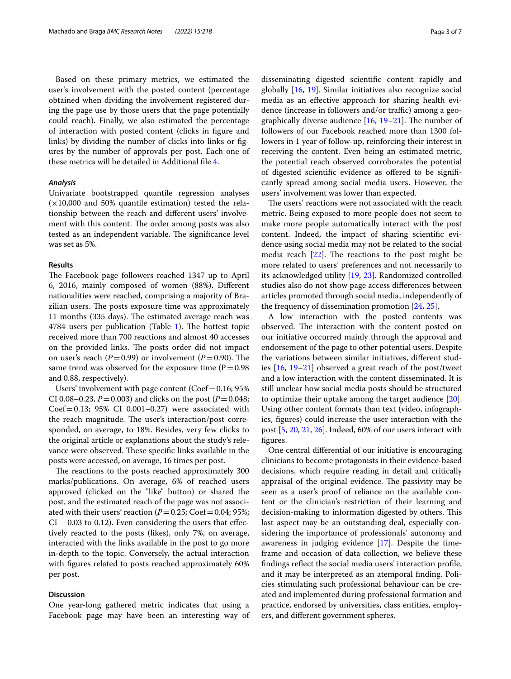Based on these primary metrics, we estimated the user's involvement with the posted content (percentage obtained when dividing the involvement registered during the page use by those users that the page potentially could reach). Finally, we also estimated the percentage of interaction with posted content (clicks in fgure and links) by dividing the number of clicks into links or fgures by the number of approvals per post. Each one of these metrics will be detailed in Additional fle [4](#page-5-3).

# *Analysis*

Univariate bootstrapped quantile regression analyses  $(x10,000$  and 50% quantile estimation) tested the relationship between the reach and diferent users' involvement with this content. The order among posts was also tested as an independent variable. The significance level was set as 5%.

#### **Results**

The Facebook page followers reached 1347 up to April 6, 2016, mainly composed of women (88%). Diferent nationalities were reached, comprising a majority of Brazilian users. The posts exposure time was approximately 11 months (335 days). The estimated average reach was 4784 users per publication (Table [1](#page-3-0)). The hottest topic received more than 700 reactions and almost 40 accesses on the provided links. The posts order did not impact on user's reach ( $P=0.99$ ) or involvement ( $P=0.90$ ). The same trend was observed for the exposure time  $(P=0.98$ and 0.88, respectively).

Users' involvement with page content ( $Coef=0.16$ ; 95%) CI 0.08–0.23,  $P = 0.003$ ) and clicks on the post ( $P = 0.048$ ; Coef=0.13;  $95\%$  CI 0.001-0.27) were associated with the reach magnitude. The user's interaction/post corresponded, on average, to 18%. Besides, very few clicks to the original article or explanations about the study's relevance were observed. These specific links available in the posts were accessed, on average, 16 times per post.

The reactions to the posts reached approximately 300 marks/publications. On average, 6% of reached users approved (clicked on the "like" button) or shared the post, and the estimated reach of the page was not associated with their users' reaction ( $P=0.25$ ; Coef=0.04; 95%;  $CI - 0.03$  to 0.12). Even considering the users that effectively reacted to the posts (likes), only 7%, on average, interacted with the links available in the post to go more in-depth to the topic. Conversely, the actual interaction with fgures related to posts reached approximately 60% per post.

# **Discussion**

One year-long gathered metric indicates that using a Facebook page may have been an interesting way of disseminating digested scientifc content rapidly and globally [[16,](#page-6-12) [19](#page-6-15)]. Similar initiatives also recognize social media as an efective approach for sharing health evidence (increase in followers and/or traffic) among a geographically diverse audience  $[16, 19-21]$  $[16, 19-21]$  $[16, 19-21]$  $[16, 19-21]$ . The number of followers of our Facebook reached more than 1300 followers in 1 year of follow-up, reinforcing their interest in receiving the content. Even being an estimated metric, the potential reach observed corroborates the potential of digested scientifc evidence as ofered to be signifcantly spread among social media users. However, the users' involvement was lower than expected.

The users' reactions were not associated with the reach metric. Being exposed to more people does not seem to make more people automatically interact with the post content. Indeed, the impact of sharing scientifc evidence using social media may not be related to the social media reach  $[22]$  $[22]$ . The reactions to the post might be more related to users' preferences and not necessarily to its acknowledged utility [[19,](#page-6-15) [23\]](#page-6-18). Randomized controlled studies also do not show page access diferences between articles promoted through social media, independently of the frequency of dissemination promotion [[24,](#page-6-19) [25\]](#page-6-20).

A low interaction with the posted contents was observed. The interaction with the content posted on our initiative occurred mainly through the approval and endorsement of the page to other potential users. Despite the variations between similar initiatives, diferent studies [\[16,](#page-6-12) [19](#page-6-15)[–21](#page-6-16)] observed a great reach of the post/tweet and a low interaction with the content disseminated. It is still unclear how social media posts should be structured to optimize their uptake among the target audience [\[20](#page-6-21)]. Using other content formats than text (video, infographics, fgures) could increase the user interaction with the post [[5,](#page-6-22) [20](#page-6-21), [21,](#page-6-16) [26](#page-6-23)]. Indeed, 60% of our users interact with fgures.

One central diferential of our initiative is encouraging clinicians to become protagonists in their evidence-based decisions, which require reading in detail and critically appraisal of the original evidence. The passivity may be seen as a user's proof of reliance on the available content or the clinician's restriction of their learning and decision-making to information digested by others. This last aspect may be an outstanding deal, especially considering the importance of professionals' autonomy and awareness in judging evidence [[17\]](#page-6-13). Despite the timeframe and occasion of data collection, we believe these fndings refect the social media users' interaction profle, and it may be interpreted as an atemporal fnding. Policies stimulating such professional behaviour can be created and implemented during professional formation and practice, endorsed by universities, class entities, employers, and diferent government spheres.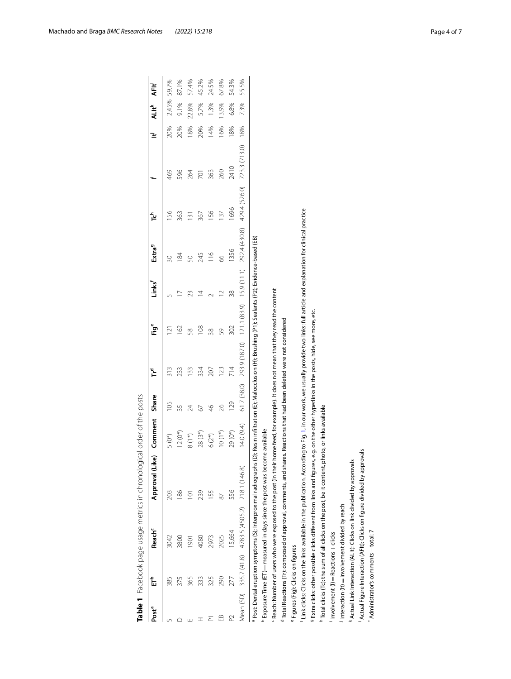<span id="page-3-0"></span>

|                   |                                               |                                                                     | Table 1 Facebook page usage metrics in chronological order of the posts                                                                                                                       |                    |               |                                                                                             |                |                    |                    |                 |               |     |                         |                   |
|-------------------|-----------------------------------------------|---------------------------------------------------------------------|-----------------------------------------------------------------------------------------------------------------------------------------------------------------------------------------------|--------------------|---------------|---------------------------------------------------------------------------------------------|----------------|--------------------|--------------------|-----------------|---------------|-----|-------------------------|-------------------|
| Post <sup>a</sup> | 亡                                             | <b>Reach<sup>c</sup></b>                                            | Approval (Like)                                                                                                                                                                               | Comment            | Share         | 飞                                                                                           | Ëů             | Links <sup>f</sup> | Extra <sup>g</sup> | ڀ               |               | ₹   | <b>ALIt<sup>k</sup></b> | AFIt <sup>1</sup> |
|                   | 385                                           | 3042                                                                | 203                                                                                                                                                                                           | $5(0*)$            | 105           | 313                                                                                         | $\bar{\simeq}$ |                    | 20                 | 56              | 469           | 20% | 2.45%                   | 59.7%             |
|                   | 375                                           | 3800                                                                | 186                                                                                                                                                                                           | $12(0*)$           | 35            | 233                                                                                         | 162            |                    | 84                 | 363             | 596           | 20% | 9.1%                    | 87.1%             |
|                   | 365                                           | 1901                                                                | Ξ                                                                                                                                                                                             | $8(1*)$            | 24            | 133                                                                                         | 89             | ೫                  | 50                 | $\overline{3}$  | 264           | 18% | 22.8%                   | 57.4%             |
|                   | 333                                           | 4080                                                                | 239                                                                                                                                                                                           | $28(3*)$           | 67            | 334                                                                                         | 108            | ₫                  | 245                | 367             | 701           | 20% | 5.7%                    | 45.2%             |
|                   | 325                                           | 2973                                                                | 155                                                                                                                                                                                           | $6(2^{*})$         | $\frac{9}{5}$ | 207                                                                                         | $\frac{8}{30}$ |                    | 116                | 156             | 363           | 14% | 1.3%                    | 24.5%             |
| $\mathbb{B}$      | 290                                           | 2025                                                                | 87                                                                                                                                                                                            | $10(1*)$           | 26            | 123                                                                                         | 59             | $\sim$             | 8                  | $\overline{37}$ | 260           | 16% | 13.9%                   | 67.8%             |
| 2                 | 277                                           | 15,664                                                              | 556                                                                                                                                                                                           | 29 <sub>(0*)</sub> | 129           | 714                                                                                         | 302            | 38                 | 1356               | 1696            | 2410          | 8%  | 6.8%                    | 54.3%             |
| Mean (SD)         | 335.7 (41.8)                                  | 4783.5 (4505.2)                                                     | 218.1 (146.8)                                                                                                                                                                                 | 14.0(9.4)          | 61.7 (38.0)   | 293.9 (187.0)                                                                               | 121.1 (83.9)   | 15.9(11.1)         | 292.4 (430.8)      | 429.4 (526.0)   | 723.3 (713.0) | 18% | 7.3%                    | 55.5%             |
|                   |                                               |                                                                     | <sup>a</sup> Post: Dental eruption symptoms (S); Interproximal radiographs (D);                                                                                                               |                    |               | Resin infiltration (E); Malocclusion (H); Brushing (P1); Sealants (P2); Evidence-based (EB) |                |                    |                    |                 |               |     |                         |                   |
|                   |                                               |                                                                     | <sup>b</sup> Exposure Time (ET)—measured in days since the post was become available                                                                                                          |                    |               |                                                                                             |                |                    |                    |                 |               |     |                         |                   |
|                   |                                               |                                                                     | Reach: Number of users who were exposed to the post (in their home feed, for example). It does not mean that they read the content                                                            |                    |               |                                                                                             |                |                    |                    |                 |               |     |                         |                   |
|                   |                                               |                                                                     | <sup>d</sup> Total Reactions (Tr): composed of approval, comments, and shares.                                                                                                                |                    |               | Reactions that had been deleted were not considered                                         |                |                    |                    |                 |               |     |                         |                   |
|                   | <sup>e</sup> Figures (Fig): Clicks on figures |                                                                     |                                                                                                                                                                                               |                    |               |                                                                                             |                |                    |                    |                 |               |     |                         |                   |
|                   |                                               |                                                                     | <sup>r</sup> Link clicks Clicks on the links available in the publication. According to Fig. 1, in our work, we usually provide two links: full article and explanation for clinical practice |                    |               |                                                                                             |                |                    |                    |                 |               |     |                         |                   |
|                   |                                               |                                                                     | <sup>9</sup> Extra clicks: other possible clicks different from links and figures, e.g. on the other hyperlinks in the posts, hide, see more, etc                                             |                    |               |                                                                                             |                |                    |                    |                 |               |     |                         |                   |
|                   |                                               |                                                                     | <sup>h</sup> Total clicks (Tc): the sum of all clicks on the post, be it content, photo, or links available                                                                                   |                    |               |                                                                                             |                |                    |                    |                 |               |     |                         |                   |
|                   | $Involvement (I) = Reactions + clicks$        |                                                                     |                                                                                                                                                                                               |                    |               |                                                                                             |                |                    |                    |                 |               |     |                         |                   |
|                   |                                               | $\frac{1}{2}$ Interaction (It) = Involvement divided by reach       |                                                                                                                                                                                               |                    |               |                                                                                             |                |                    |                    |                 |               |     |                         |                   |
|                   |                                               | Actual Link Interaction (ALIt): Clicks on link divided by approvals |                                                                                                                                                                                               |                    |               |                                                                                             |                |                    |                    |                 |               |     |                         |                   |
|                   |                                               |                                                                     | Actual Figure Interaction (AFIt): Clicks on figure divided by approvals                                                                                                                       |                    |               |                                                                                             |                |                    |                    |                 |               |     |                         |                   |
|                   | Administrator's comments-total: 7             |                                                                     |                                                                                                                                                                                               |                    |               |                                                                                             |                |                    |                    |                 |               |     |                         |                   |

Machado and Braga *BMC Research Notes (2022) 15:218* Page 4 of 7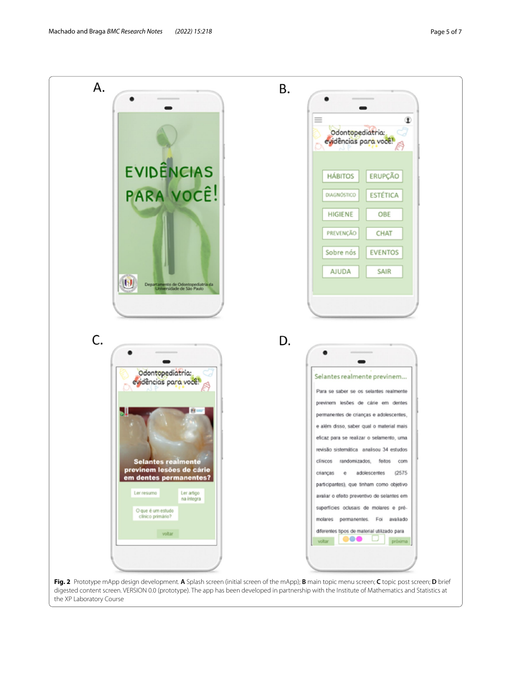

<span id="page-4-0"></span>digested content screen. VERSION 0.0 (prototype). The app has been developed in partnership with the Institute of Mathematics and Statistics at the XP Laboratory Course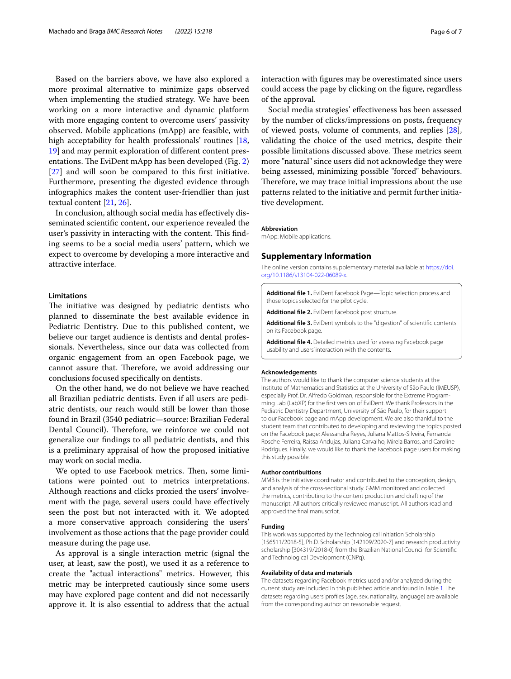Based on the barriers above, we have also explored a more proximal alternative to minimize gaps observed when implementing the studied strategy. We have been working on a more interactive and dynamic platform with more engaging content to overcome users' passivity observed. Mobile applications (mApp) are feasible, with high acceptability for health professionals' routines [\[18](#page-6-14), [19\]](#page-6-15) and may permit exploration of diferent content presentations. The EviDent mApp has been developed (Fig.  $2$ ) [[27\]](#page-6-24) and will soon be compared to this frst initiative. Furthermore, presenting the digested evidence through infographics makes the content user-friendlier than just textual content [\[21](#page-6-16), [26\]](#page-6-23).

In conclusion, although social media has efectively disseminated scientifc content, our experience revealed the user's passivity in interacting with the content. This finding seems to be a social media users' pattern, which we expect to overcome by developing a more interactive and attractive interface.

## **Limitations**

The initiative was designed by pediatric dentists who planned to disseminate the best available evidence in Pediatric Dentistry. Due to this published content, we believe our target audience is dentists and dental professionals. Nevertheless, since our data was collected from organic engagement from an open Facebook page, we cannot assure that. Therefore, we avoid addressing our conclusions focused specifcally on dentists.

On the other hand, we do not believe we have reached all Brazilian pediatric dentists. Even if all users are pediatric dentists, our reach would still be lower than those found in Brazil (3540 pediatric—source: Brazilian Federal Dental Council). Therefore, we reinforce we could not generalize our fndings to all pediatric dentists, and this is a preliminary appraisal of how the proposed initiative may work on social media.

We opted to use Facebook metrics. Then, some limitations were pointed out to metrics interpretations. Although reactions and clicks proxied the users' involvement with the page, several users could have effectively seen the post but not interacted with it. We adopted a more conservative approach considering the users' involvement as those actions that the page provider could measure during the page use.

As approval is a single interaction metric (signal the user, at least, saw the post), we used it as a reference to create the "actual interactions" metrics. However, this metric may be interpreted cautiously since some users may have explored page content and did not necessarily approve it. It is also essential to address that the actual interaction with fgures may be overestimated since users could access the page by clicking on the fgure, regardless of the approval.

Social media strategies' efectiveness has been assessed by the number of clicks/impressions on posts, frequency of viewed posts, volume of comments, and replies [\[28](#page-6-25)], validating the choice of the used metrics, despite their possible limitations discussed above. These metrics seem more "natural" since users did not acknowledge they were being assessed, minimizing possible "forced" behaviours. Therefore, we may trace initial impressions about the use patterns related to the initiative and permit further initiative development.

#### **Abbreviation**

mApp: Mobile applications.

#### **Supplementary Information**

The online version contains supplementary material available at [https://doi.](https://doi.org/10.1186/s13104-022-06089-x) [org/10.1186/s13104-022-06089-x.](https://doi.org/10.1186/s13104-022-06089-x)

<span id="page-5-1"></span><span id="page-5-0"></span>**Additional fle 1.** EviDent Facebook Page—Topic selection process and those topics selected for the pilot cycle.

<span id="page-5-2"></span>**Additional fle 2.** EviDent Facebook post structure.

<span id="page-5-3"></span>**Additional fle 3.** EviDent symbols to the "digestion" of scientifc contents on its Facebook page.

**Additional fle 4.** Detailed metrics used for assessing Facebook page usability and users' interaction with the contents.

#### **Acknowledgements**

The authors would like to thank the computer science students at the Institute of Mathematics and Statistics at the University of São Paulo (IMEUSP), especially Prof. Dr. Alfredo Goldman, responsible for the Extreme Programming Lab (LabXP) for the frst version of EviDent. We thank Professors in the Pediatric Dentistry Department, University of São Paulo, for their support to our Facebook page and mApp development. We are also thankful to the student team that contributed to developing and reviewing the topics posted on the Facebook page: Alessandra Reyes, Juliana Mattos-Silveira, Fernanda Rosche Ferreira, Raissa Andujas, Juliana Carvalho, Mirela Barros, and Caroline Rodrigues. Finally, we would like to thank the Facebook page users for making this study possible.

#### **Author contribuitions**

MMB is the initiative coordinator and contributed to the conception, design, and analysis of the cross-sectional study. GMM monitored and collected the metrics, contributing to the content production and drafting of the manuscript. All authors critically reviewed manuscript. All authors read and approved the fnal manuscript.

#### **Funding**

This work was supported by the Technological Initiation Scholarship [156511/2018-5], Ph.D. Scholarship [142109/2020-7] and research productivity scholarship [304319/2018-0] from the Brazilian National Council for Scientifc and Technological Development (CNPq).

#### **Availability of data and materials**

The datasets regarding Facebook metrics used and/or analyzed during the current study are included in this published article and found in Table [1.](#page-3-0) The datasets regarding users' profles (age, sex, nationality, language) are available from the corresponding author on reasonable request.